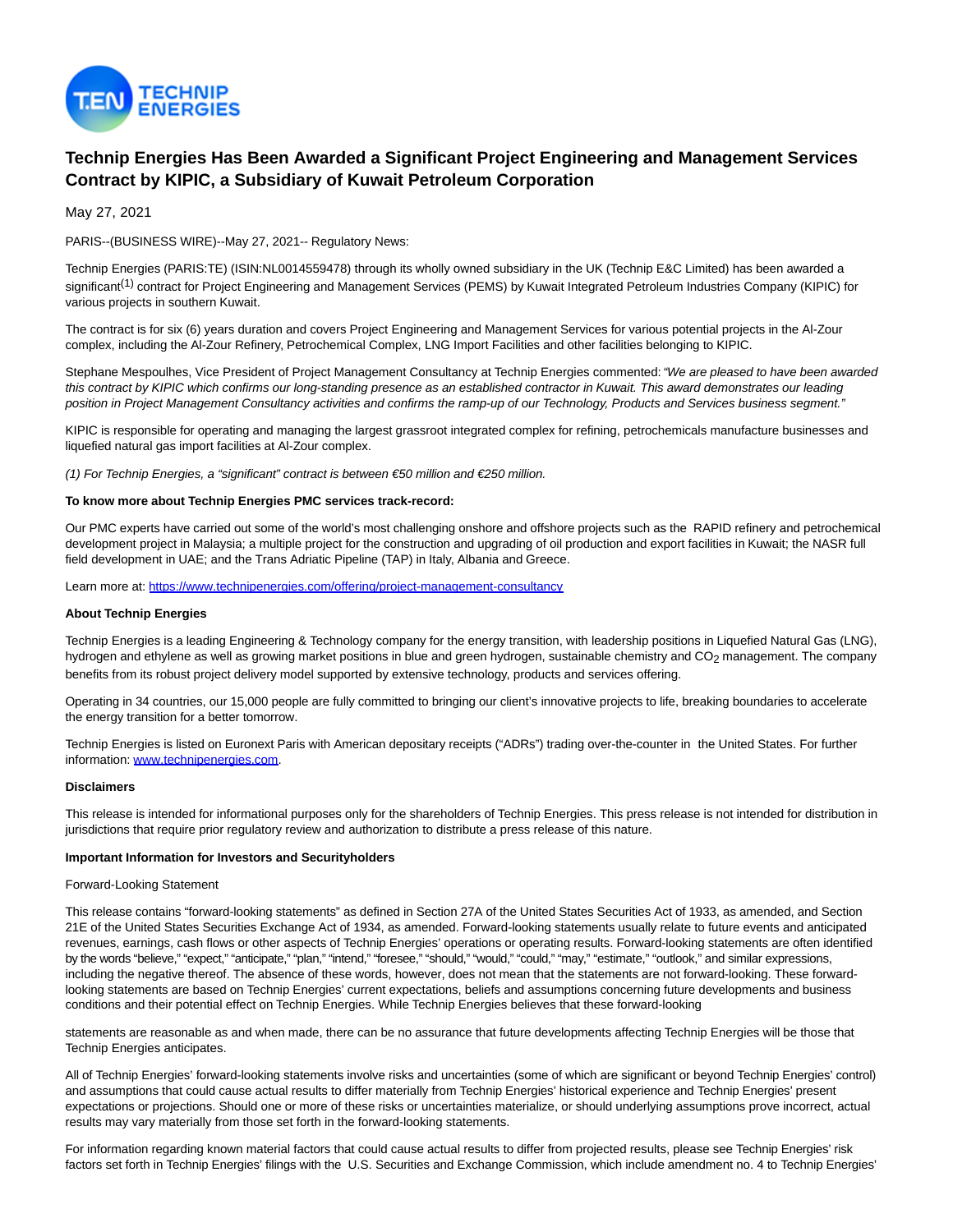

# **Technip Energies Has Been Awarded a Significant Project Engineering and Management Services Contract by KIPIC, a Subsidiary of Kuwait Petroleum Corporation**

May 27, 2021

PARIS--(BUSINESS WIRE)--May 27, 2021-- Regulatory News:

Technip Energies (PARIS:TE) (ISIN:NL0014559478) through its wholly owned subsidiary in the UK (Technip E&C Limited) has been awarded a significant<sup>(1)</sup> contract for Project Engineering and Management Services (PEMS) by Kuwait Integrated Petroleum Industries Company (KIPIC) for various projects in southern Kuwait.

The contract is for six (6) years duration and covers Project Engineering and Management Services for various potential projects in the Al-Zour complex, including the Al-Zour Refinery, Petrochemical Complex, LNG Import Facilities and other facilities belonging to KIPIC.

Stephane Mespoulhes, Vice President of Project Management Consultancy at Technip Energies commented: "We are pleased to have been awarded this contract by KIPIC which confirms our long-standing presence as an established contractor in Kuwait. This award demonstrates our leading position in Project Management Consultancy activities and confirms the ramp-up of our Technology, Products and Services business segment."

KIPIC is responsible for operating and managing the largest grassroot integrated complex for refining, petrochemicals manufacture businesses and liquefied natural gas import facilities at Al-Zour complex.

(1) For Technip Energies, a "significant" contract is between €50 million and €250 million.

#### **To know more about Technip Energies PMC services track-record:**

Our PMC experts have carried out some of the world's most challenging onshore and offshore projects such as the RAPID refinery and petrochemical development project in Malaysia; a multiple project for the construction and upgrading of oil production and export facilities in Kuwait; the NASR full field development in UAE; and the Trans Adriatic Pipeline (TAP) in Italy, Albania and Greece.

Learn more at: [https://www.technipenergies.com/offering/project-management-consultancy](https://cts.businesswire.com/ct/CT?id=smartlink&url=https%3A%2F%2Fwww.technipenergies.com%2Foffering%2Fproject-management-consultancy&esheet=52436049&newsitemid=20210526005976&lan=en-US&anchor=https%3A%2F%2Fwww.technipenergies.com%2Foffering%2Fproject-management-consultancy&index=1&md5=110a62159f45dcf994b82f5035c3653b)

### **About Technip Energies**

Technip Energies is a leading Engineering & Technology company for the energy transition, with leadership positions in Liquefied Natural Gas (LNG), hydrogen and ethylene as well as growing market positions in blue and green hydrogen, sustainable chemistry and CO<sub>2</sub> management. The company benefits from its robust project delivery model supported by extensive technology, products and services offering.

Operating in 34 countries, our 15,000 people are fully committed to bringing our client's innovative projects to life, breaking boundaries to accelerate the energy transition for a better tomorrow.

Technip Energies is listed on Euronext Paris with American depositary receipts ("ADRs") trading over-the-counter in the United States. For further information: [www.technipenergies.com.](https://cts.businesswire.com/ct/CT?id=smartlink&url=http%3A%2F%2Fwww.technipenergies.com&esheet=52436049&newsitemid=20210526005976&lan=en-US&anchor=www.technipenergies.com&index=2&md5=70837350188c33ae83566ee8c51bf268)

#### **Disclaimers**

This release is intended for informational purposes only for the shareholders of Technip Energies. This press release is not intended for distribution in jurisdictions that require prior regulatory review and authorization to distribute a press release of this nature.

#### **Important Information for Investors and Securityholders**

#### Forward-Looking Statement

This release contains "forward-looking statements" as defined in Section 27A of the United States Securities Act of 1933, as amended, and Section 21E of the United States Securities Exchange Act of 1934, as amended. Forward-looking statements usually relate to future events and anticipated revenues, earnings, cash flows or other aspects of Technip Energies' operations or operating results. Forward-looking statements are often identified by the words "believe," "expect," "anticipate," "plan," "intend," "foresee," "should," "would," "could," "may," "estimate," "outlook," and similar expressions, including the negative thereof. The absence of these words, however, does not mean that the statements are not forward-looking. These forwardlooking statements are based on Technip Energies' current expectations, beliefs and assumptions concerning future developments and business conditions and their potential effect on Technip Energies. While Technip Energies believes that these forward-looking

statements are reasonable as and when made, there can be no assurance that future developments affecting Technip Energies will be those that Technip Energies anticipates.

All of Technip Energies' forward-looking statements involve risks and uncertainties (some of which are significant or beyond Technip Energies' control) and assumptions that could cause actual results to differ materially from Technip Energies' historical experience and Technip Energies' present expectations or projections. Should one or more of these risks or uncertainties materialize, or should underlying assumptions prove incorrect, actual results may vary materially from those set forth in the forward-looking statements.

For information regarding known material factors that could cause actual results to differ from projected results, please see Technip Energies' risk factors set forth in Technip Energies' filings with the U.S. Securities and Exchange Commission, which include amendment no. 4 to Technip Energies'